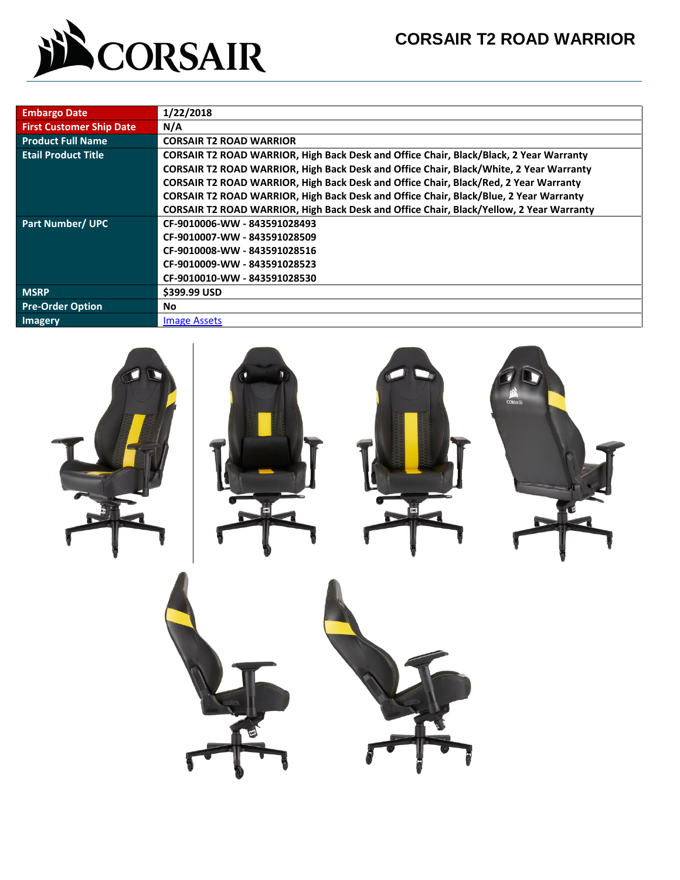

| <b>Embargo Date</b>             | 1/22/2018                                                                               |  |  |  |  |  |  |
|---------------------------------|-----------------------------------------------------------------------------------------|--|--|--|--|--|--|
| <b>First Customer Ship Date</b> | N/A                                                                                     |  |  |  |  |  |  |
| <b>Product Full Name</b>        | <b>CORSAIR T2 ROAD WARRIOR</b>                                                          |  |  |  |  |  |  |
| <b>Etail Product Title</b>      | CORSAIR T2 ROAD WARRIOR, High Back Desk and Office Chair, Black/Black, 2 Year Warranty  |  |  |  |  |  |  |
|                                 | CORSAIR T2 ROAD WARRIOR, High Back Desk and Office Chair, Black/White, 2 Year Warranty  |  |  |  |  |  |  |
|                                 | CORSAIR T2 ROAD WARRIOR, High Back Desk and Office Chair, Black/Red, 2 Year Warranty    |  |  |  |  |  |  |
|                                 | CORSAIR T2 ROAD WARRIOR, High Back Desk and Office Chair, Black/Blue, 2 Year Warranty   |  |  |  |  |  |  |
|                                 | CORSAIR T2 ROAD WARRIOR, High Back Desk and Office Chair, Black/Yellow, 2 Year Warranty |  |  |  |  |  |  |
| <b>Part Number/ UPC</b>         | CF-9010006-WW - 843591028493                                                            |  |  |  |  |  |  |
|                                 | CF-9010007-WW - 843591028509                                                            |  |  |  |  |  |  |
|                                 | CF-9010008-WW - 843591028516                                                            |  |  |  |  |  |  |
|                                 | CF-9010009-WW - 843591028523                                                            |  |  |  |  |  |  |
|                                 | CF-9010010-WW - 843591028530                                                            |  |  |  |  |  |  |
| <b>MSRP</b>                     | \$399.99 USD                                                                            |  |  |  |  |  |  |
| <b>Pre-Order Option</b>         | No.                                                                                     |  |  |  |  |  |  |
| <b>Imagery</b>                  | <b>Image Assets</b>                                                                     |  |  |  |  |  |  |

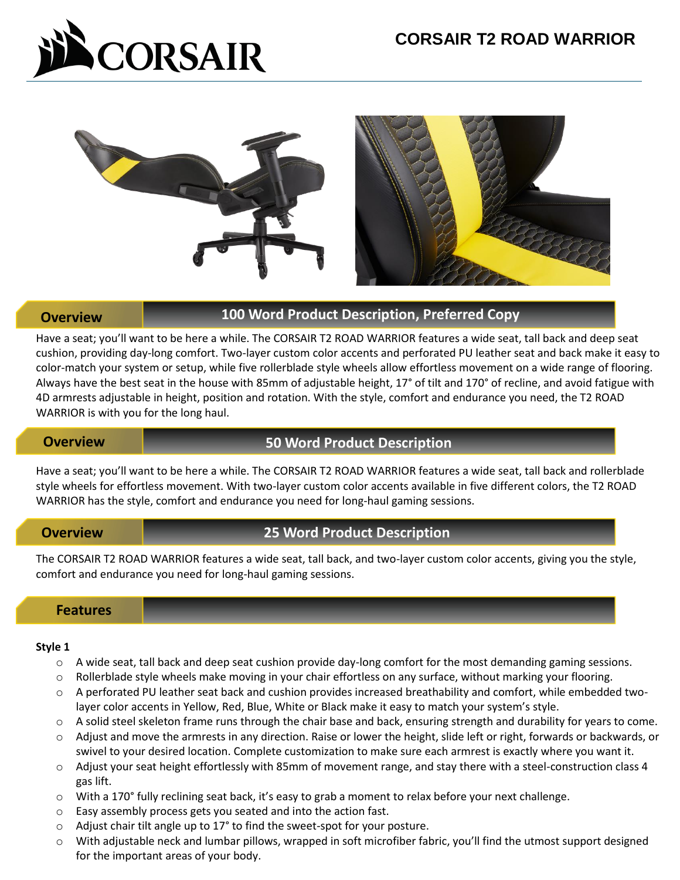



# **Overview 100 Word Product Description, Preferred Copy**

Have a seat; you'll want to be here a while. The CORSAIR T2 ROAD WARRIOR features a wide seat, tall back and deep seat cushion, providing day-long comfort. Two-layer custom color accents and perforated PU leather seat and back make it easy to color-match your system or setup, while five rollerblade style wheels allow effortless movement on a wide range of flooring. Always have the best seat in the house with 85mm of adjustable height, 17° of tilt and 170° of recline, and avoid fatigue with 4D armrests adjustable in height, position and rotation. With the style, comfort and endurance you need, the T2 ROAD WARRIOR is with you for the long haul.

## **Overview 50 Word Product Description**

Have a seat; you'll want to be here a while. The CORSAIR T2 ROAD WARRIOR features a wide seat, tall back and rollerblade style wheels for effortless movement. With two-layer custom color accents available in five different colors, the T2 ROAD WARRIOR has the style, comfort and endurance you need for long-haul gaming sessions.

# **Overview 25 Word Product Description**

The CORSAIR T2 ROAD WARRIOR features a wide seat, tall back, and two-layer custom color accents, giving you the style, comfort and endurance you need for long-haul gaming sessions.

## **Features**

### **Style 1**

- $\circ$  A wide seat, tall back and deep seat cushion provide day-long comfort for the most demanding gaming sessions.
- o Rollerblade style wheels make moving in your chair effortless on any surface, without marking your flooring.
- o A perforated PU leather seat back and cushion provides increased breathability and comfort, while embedded twolayer color accents in Yellow, Red, Blue, White or Black make it easy to match your system's style.
- o A solid steel skeleton frame runs through the chair base and back, ensuring strength and durability for years to come.
- o Adjust and move the armrests in any direction. Raise or lower the height, slide left or right, forwards or backwards, or swivel to your desired location. Complete customization to make sure each armrest is exactly where you want it.
- o Adjust your seat height effortlessly with 85mm of movement range, and stay there with a steel-construction class 4 gas lift.
- o With a 170° fully reclining seat back, it's easy to grab a moment to relax before your next challenge.
- o Easy assembly process gets you seated and into the action fast.
- o Adjust chair tilt angle up to 17° to find the sweet-spot for your posture.
- o With adjustable neck and lumbar pillows, wrapped in soft microfiber fabric, you'll find the utmost support designed for the important areas of your body.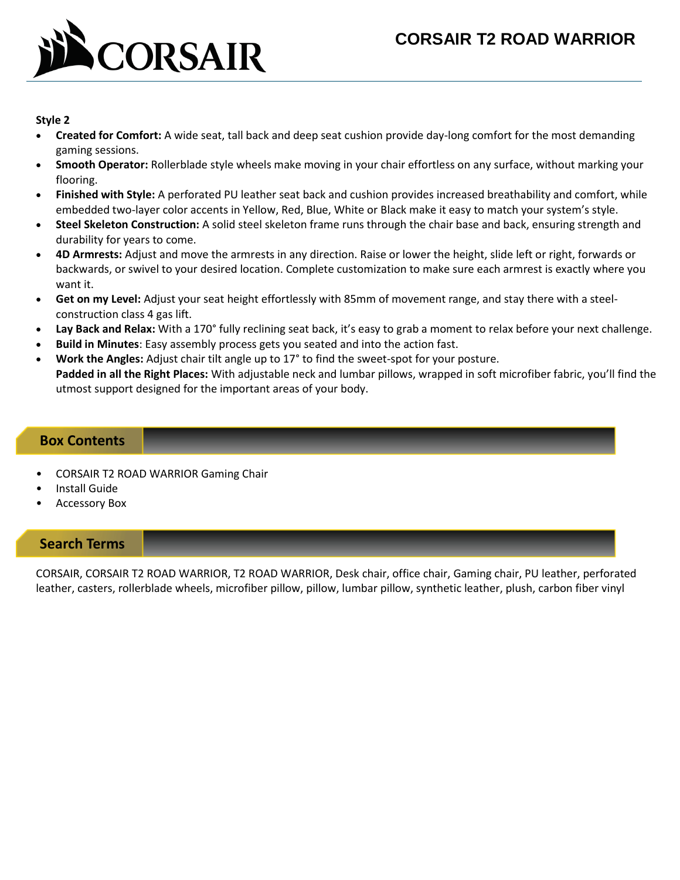# **CORSAIR T2 ROAD WARRIOR**



## **Style 2**

- **Created for Comfort:** A wide seat, tall back and deep seat cushion provide day-long comfort for the most demanding gaming sessions.
- **Smooth Operator:** Rollerblade style wheels make moving in your chair effortless on any surface, without marking your flooring.
- **Finished with Style:** A perforated PU leather seat back and cushion provides increased breathability and comfort, while embedded two-layer color accents in Yellow, Red, Blue, White or Black make it easy to match your system's style.
- **Steel Skeleton Construction:** A solid steel skeleton frame runs through the chair base and back, ensuring strength and durability for years to come.
- **4D Armrests:** Adjust and move the armrests in any direction. Raise or lower the height, slide left or right, forwards or backwards, or swivel to your desired location. Complete customization to make sure each armrest is exactly where you want it.
- **Get on my Level:** Adjust your seat height effortlessly with 85mm of movement range, and stay there with a steelconstruction class 4 gas lift.
- **Lay Back and Relax:** With a 170° fully reclining seat back, it's easy to grab a moment to relax before your next challenge.
- **Build in Minutes**: Easy assembly process gets you seated and into the action fast.
- **Work the Angles:** Adjust chair tilt angle up to 17° to find the sweet-spot for your posture.

**Padded in all the Right Places:** With adjustable neck and lumbar pillows, wrapped in soft microfiber fabric, you'll find the utmost support designed for the important areas of your body.

## **Box Contents**

- CORSAIR T2 ROAD WARRIOR Gaming Chair
- Install Guide
- Accessory Box

# **Search Terms**

CORSAIR, CORSAIR T2 ROAD WARRIOR, T2 ROAD WARRIOR, Desk chair, office chair, Gaming chair, PU leather, perforated leather, casters, rollerblade wheels, microfiber pillow, pillow, lumbar pillow, synthetic leather, plush, carbon fiber vinyl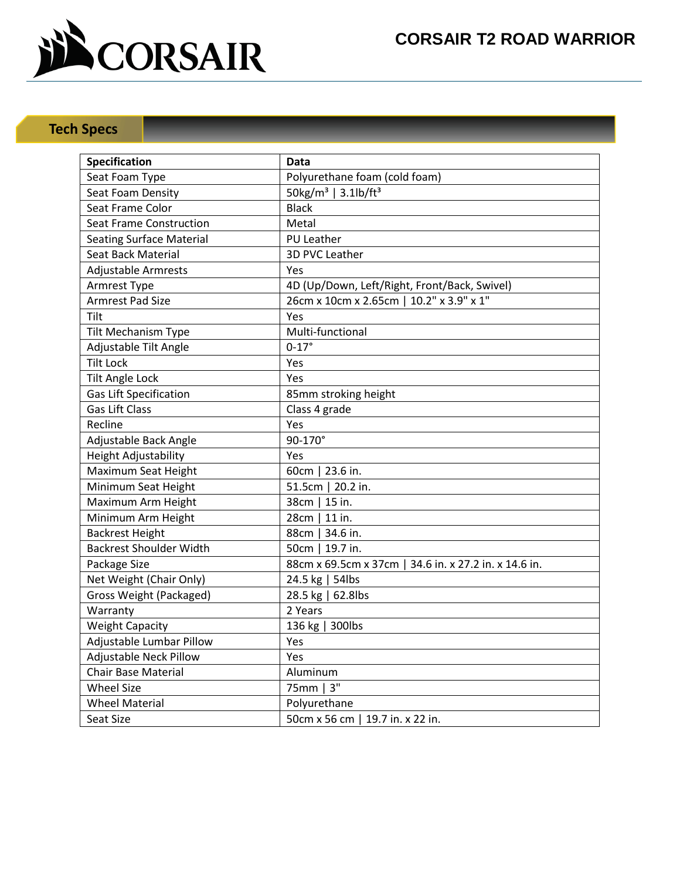

# **Tech Specs**

| Specification                   | Data                                                  |  |  |  |
|---------------------------------|-------------------------------------------------------|--|--|--|
| Seat Foam Type                  | Polyurethane foam (cold foam)                         |  |  |  |
| Seat Foam Density               | $50\text{kg/m}^3$   3.1lb/ft <sup>3</sup>             |  |  |  |
| Seat Frame Color                | <b>Black</b>                                          |  |  |  |
| <b>Seat Frame Construction</b>  | Metal                                                 |  |  |  |
| <b>Seating Surface Material</b> | <b>PU Leather</b>                                     |  |  |  |
| Seat Back Material              | 3D PVC Leather                                        |  |  |  |
| <b>Adjustable Armrests</b>      | <b>Yes</b>                                            |  |  |  |
| Armrest Type                    | 4D (Up/Down, Left/Right, Front/Back, Swivel)          |  |  |  |
| <b>Armrest Pad Size</b>         | 26cm x 10cm x 2.65cm   10.2" x 3.9" x 1"              |  |  |  |
| Tilt                            | Yes                                                   |  |  |  |
| Tilt Mechanism Type             | Multi-functional                                      |  |  |  |
| Adjustable Tilt Angle           | $0 - 17$ °                                            |  |  |  |
| <b>Tilt Lock</b>                | Yes                                                   |  |  |  |
| <b>Tilt Angle Lock</b>          | Yes                                                   |  |  |  |
| <b>Gas Lift Specification</b>   | 85mm stroking height                                  |  |  |  |
| <b>Gas Lift Class</b>           | Class 4 grade                                         |  |  |  |
| Recline                         | Yes                                                   |  |  |  |
| Adjustable Back Angle           | 90-170°                                               |  |  |  |
| Height Adjustability            | Yes                                                   |  |  |  |
| Maximum Seat Height             | 60cm   23.6 in.                                       |  |  |  |
| Minimum Seat Height             | 51.5cm   20.2 in.                                     |  |  |  |
| Maximum Arm Height              | 38cm   15 in.                                         |  |  |  |
| Minimum Arm Height              | 28cm   11 in.                                         |  |  |  |
| <b>Backrest Height</b>          | 88cm   34.6 in.                                       |  |  |  |
| <b>Backrest Shoulder Width</b>  | 50cm   19.7 in.                                       |  |  |  |
| Package Size                    | 88cm x 69.5cm x 37cm   34.6 in. x 27.2 in. x 14.6 in. |  |  |  |
| Net Weight (Chair Only)         | 24.5 kg   54lbs                                       |  |  |  |
| Gross Weight (Packaged)         | 28.5 kg   62.8lbs                                     |  |  |  |
| Warranty                        | 2 Years                                               |  |  |  |
| <b>Weight Capacity</b>          | 136 kg   300lbs                                       |  |  |  |
| Adjustable Lumbar Pillow        | Yes                                                   |  |  |  |
| <b>Adjustable Neck Pillow</b>   | Yes                                                   |  |  |  |
| <b>Chair Base Material</b>      | Aluminum                                              |  |  |  |
| <b>Wheel Size</b>               | 75mm   3"                                             |  |  |  |
| <b>Wheel Material</b>           | Polyurethane                                          |  |  |  |
| Seat Size                       | 50cm x 56 cm   19.7 in. x 22 in.                      |  |  |  |